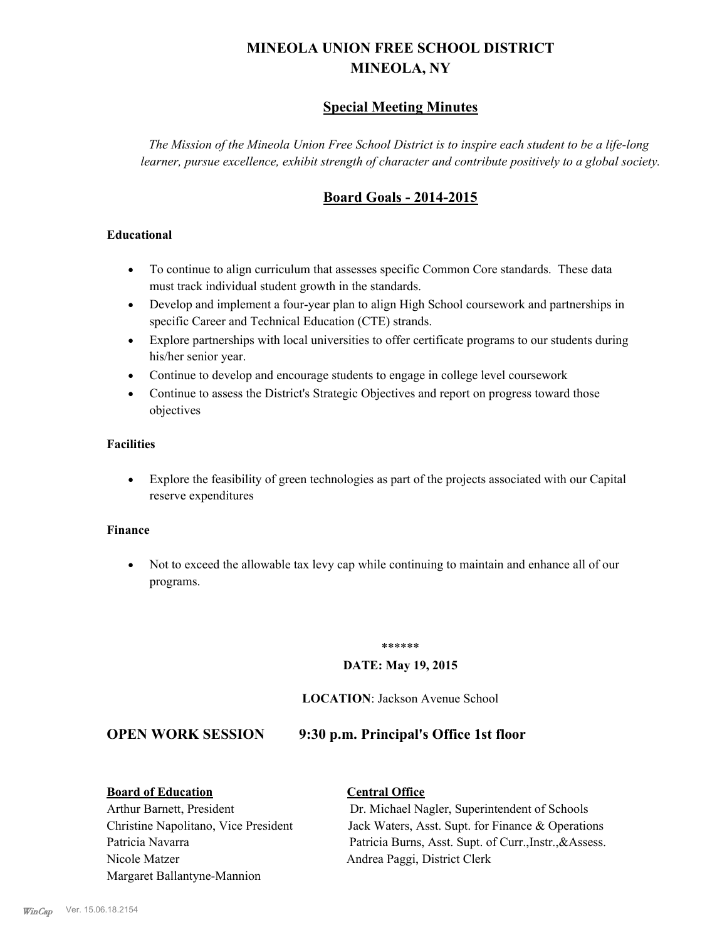# **MINEOLA UNION FREE SCHOOL DISTRICT MINEOLA, NY**

# **Special Meeting Minutes**

*The Mission of the Mineola Union Free School District is to inspire each student to be a life-long learner, pursue excellence, exhibit strength of character and contribute positively to a global society.*

# **Board Goals - 2014-2015**

# **Educational**

- · To continue to align curriculum that assesses specific Common Core standards. These data must track individual student growth in the standards.
- · Develop and implement a four-year plan to align High School coursework and partnerships in specific Career and Technical Education (CTE) strands.
- · Explore partnerships with local universities to offer certificate programs to our students during his/her senior year.
- · Continue to develop and encourage students to engage in college level coursework
- Continue to assess the District's Strategic Objectives and report on progress toward those objectives

# **Facilities**

· Explore the feasibility of green technologies as part of the projects associated with our Capital reserve expenditures

#### **Finance**

· Not to exceed the allowable tax levy cap while continuing to maintain and enhance all of our programs.

#### \*\*\*\*\*\*

# **DATE: May 19, 2015**

## **LOCATION**: Jackson Avenue School

**OPEN WORK SESSION 9:30 p.m. Principal's Office 1st floor**

#### **Board of Education Central Office**

Nicole Matzer Andrea Paggi, District Clerk Margaret Ballantyne-Mannion

Arthur Barnett, President Dr. Michael Nagler, Superintendent of Schools Christine Napolitano, Vice President Jack Waters, Asst. Supt. for Finance & Operations Patricia Navarra Patricia Burns, Asst. Supt. of Curr., Instr., & Assess.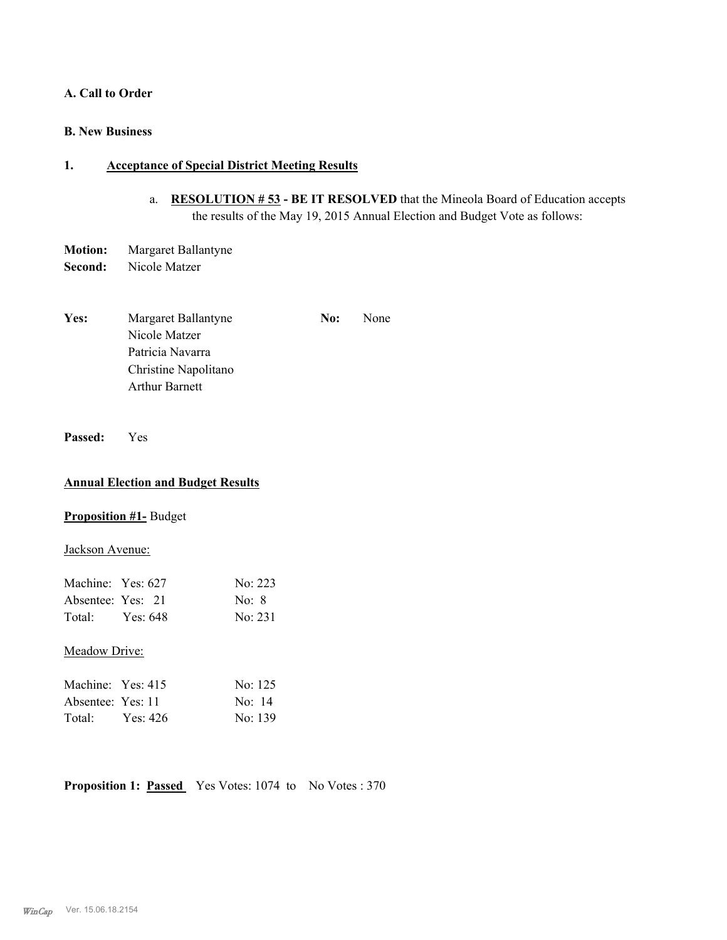### **A. Call to Order**

# **B. New Business**

# **1. Acceptance of Special District Meeting Results**

- a. **RESOLUTION # 53 BE IT RESOLVED** that the Mineola Board of Education accepts the results of the May 19, 2015 Annual Election and Budget Vote as follows:
- **Motion:** Margaret Ballantyne **Second:** Nicole Matzer
- Yes: Margaret Ballantyne **No:** None Nicole Matzer Patricia Navarra Christine Napolitano Arthur Barnett
- **Passed:** Yes

## **Annual Election and Budget Results**

## **Proposition #1-** Budget

### Jackson Avenue:

| Machine: Yes: 627 |          | No: 223 |
|-------------------|----------|---------|
| Absentee: Yes: 21 |          | No: 8   |
| Total:            | Yes: 648 | No: 231 |

#### Meadow Drive:

| Machine: Yes: 415 |          | No: 125 |
|-------------------|----------|---------|
| Absentee: Yes: 11 |          | No: 14  |
| Total:            | Yes: 426 | No: 139 |

**Proposition 1: Passed** Yes Votes: 1074 to No Votes: 370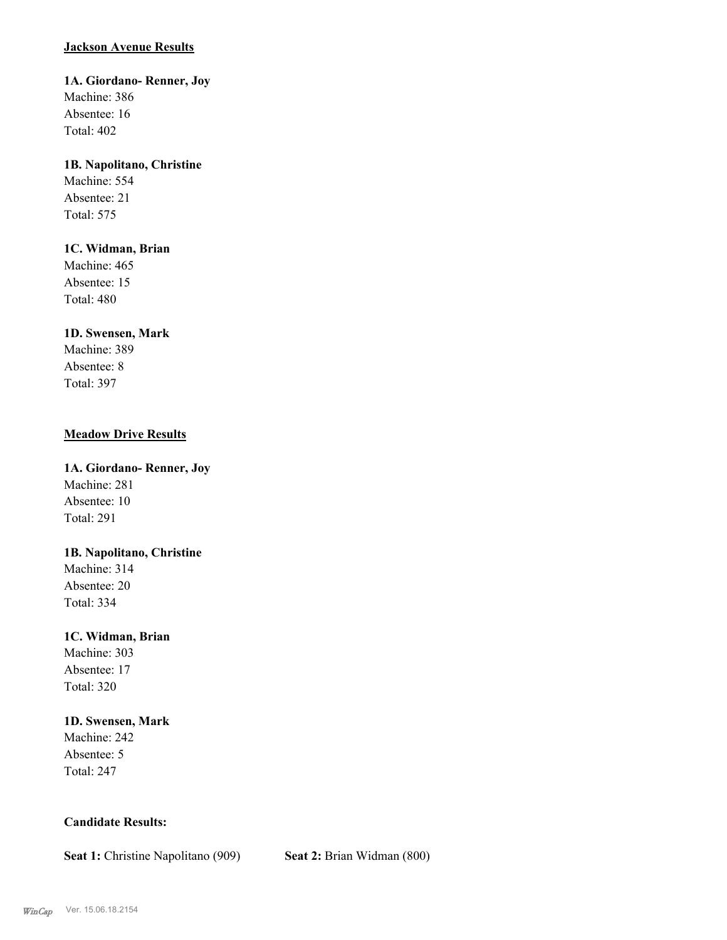# **Jackson Avenue Results**

**1A. Giordano- Renner, Joy** Machine: 386

Absentee: 16 Total: 402

# **1B. Napolitano, Christine**

Machine: 554 Absentee: 21 Total: 575

# **1C. Widman, Brian**

Machine: 465 Absentee: 15 Total: 480

# **1D. Swensen, Mark**

Machine: 389 Absentee: 8 Total: 397

# **Meadow Drive Results**

**1A. Giordano- Renner, Joy** Machine: 281 Absentee: 10 Total: 291

# **1B. Napolitano, Christine**

Machine: 314 Absentee: 20 Total: 334

# **1C. Widman, Brian**

Machine: 303 Absentee: 17 Total: 320

# **1D. Swensen, Mark**

Machine: 242 Absentee: 5 Total: 247

# **Candidate Results:**

**Seat 1:** Christine Napolitano (909) **Seat 2:** Brian Widman (800)